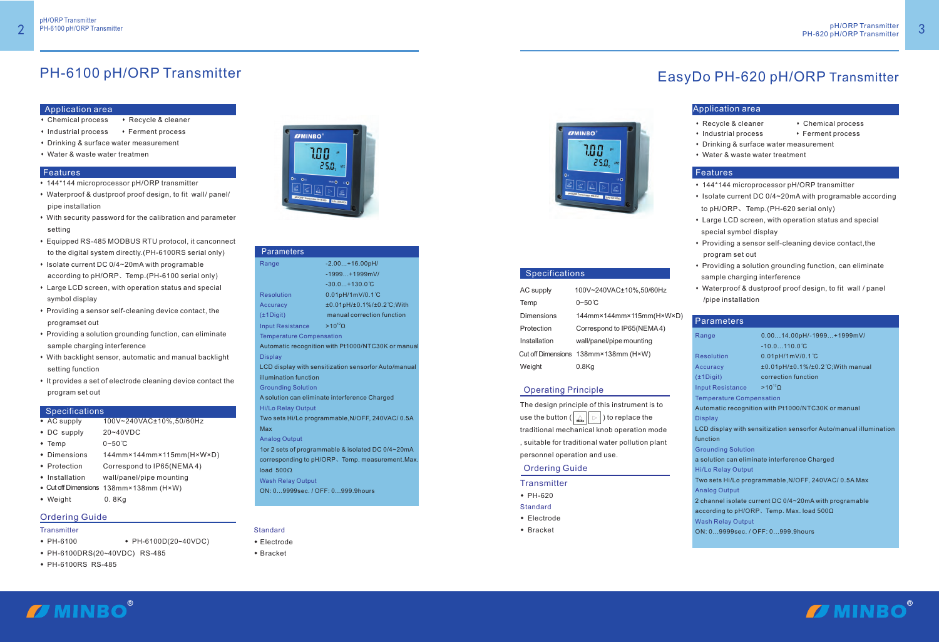#### Application area

- Chemical process Recycle & cleaner
- Industrial process Ferment process
- Drinking & surface water measurement
- Water & waste water treatmen

#### **Features**

- s144\*144 microprocessor pH/ORP transmitter
- \* Waterproof & dustproof proof design, to fit wall/ panel/ pipe installation
- With security password for the calibration and parameter setting
- **\* Equipped RS-485 MODBUS RTU protocol, it canconnect** to the digital system directly.(PH-6100RS serial only)
- Isolate current DC 0/4~20mA with programable according to pH/ORP、Temp.(PH-6100 serial only)
- Large LCD screen, with operation status and special symbol display
- \* Providing a sensor self-cleaning device contact, the programset out
- \* Providing a solution grounding function, can eliminate sample charging interference
- With backlight sensor, automatic and manual backlight setting function
- It provides a set of electrode cleaning device contact the program set out

#### **Specifications**

- $\overline{\bullet}$  AC supply  $100\sqrt{240\sqrt{4C}}$ ±10%,50/60Hz<br>  $\overline{\bullet}$  DC supply  $20 \sim 40\sqrt{2C}$
- ◆ DC supply<br>◆ Temp
- $0 50$ °C
- Dimensions 144mm×144mm×115mm(H×W×D)
- ◆ Protection Correspond to IP65(NEMA4)
- Installation wall/panel/pipe mounting
- Installation wall/panel/pipe mounting<br>● Cut off Dimensions 138mm×138mm (H×W) ● Cutoff Dimensions 138mm×138mm (H×W)<br>● Weight 0. 8Kg
- Weight 0.8Kg

- PH-6100 PH-6100D(20~40VDC)
- + PH-6100DRS(20~40VDC) RS-485
- PH-6100RS RS-485

# **IJMINBO** 100 25.0.



#### **Standard**

- ◆ Electrode<br>◆ Bracket
- 

## **IZMINBO** 100 25.0.



#### **Specifications**

## PH-6100 pH/ORP Transmitter

- 144\*144 microprocessor pH/ORP transmitter
- $\cdot$  Isolate current DC 0/4~20mA with programable according
- to pH/ORP、Temp.(PH-620 serial only)
- Large LCD screen, with operation status and special s special symbol display
- $\cdot$  Providing a sensor self-cleaning device contact, the program set out
- Providing a solution grounding function, can eliminate sample charging interference
- Waterproof & dustproof proof design, to fit wall / panel /pipe installation

#### **Parameters**

#### Ordering Guide

#### **Transmitter**

# EasyDo PH-620 pH/ORP Transmitter

#### Operating Principle

The design principle of this instrument is to use the button ( $\|\widehat{\mathcal{L}}\|$  ) to replace the traditional mechanical knob operation mode , suitable for traditional water pollution plant personnel operation and use.

| AC supply    | 100V~240VAC±10%,50/60Hz              |
|--------------|--------------------------------------|
| Temp         | $0\neg 50^\circ C$                   |
| Dimensions   | 144mm×144mm×115mm(H×W×D)             |
| Protection   | Correspond to IP65(NEMA4)            |
| Installation | wall/panel/pipe mounting             |
|              | Cut off Dimensions 138mm×138mm (H×W) |
| Weight       | $0.8$ Kg                             |

| Range                                         | $0.0014.00pH/-1999+1999mV/$                                       |  |
|-----------------------------------------------|-------------------------------------------------------------------|--|
|                                               | $-10.0110.0^{\circ}C$                                             |  |
| <b>Resolution</b>                             | 0.01pH/1mV/0.1°C                                                  |  |
| <b>Accuracy</b>                               | $±0.01pH/±0.1\%/±0.2°C;With manual$                               |  |
| $(\pm 1$ Digit)                               | correction function                                               |  |
| <b>Input Resistance</b>                       | $>10^{12}$ Ω                                                      |  |
| <b>Temperature Compensation</b>               |                                                                   |  |
|                                               | Automatic recognition with Pt1000/NTC30K or manual                |  |
| <b>Display</b>                                |                                                                   |  |
|                                               | LCD display with sensitization sensorfor Auto/manual illumination |  |
| function                                      |                                                                   |  |
| <b>Grounding Solution</b>                     |                                                                   |  |
| a solution can eliminate interference Charged |                                                                   |  |
| <b>Hi/Lo Relay Output</b>                     |                                                                   |  |
|                                               | Two sets Hi/Lo programmable, N/OFF, 240VAC/0.5A Max               |  |
| <b>Analog Output</b>                          |                                                                   |  |
|                                               | 2 channel isolate current DC 0/4~20mA with programable            |  |
|                                               | according to pH/ORP, Temp. Max. load $500\Omega$                  |  |
| <b>Wash Relay Output</b>                      |                                                                   |  |
| ON: 09999sec. / OFF: 0999.9hours              |                                                                   |  |



#### Application area

- Recycle & cleaner Chemical process
- Industrial process Ferment process
- 
- Drinking & surface water measurement
- 
- 
- Water & waste water treatment

#### **Features**

#### Ordering Guide

#### **Transmitter**

- $\cdot$  PH-620
- Standard<br>◆ Electrode
- 
- $\triangleleft$  Bracket